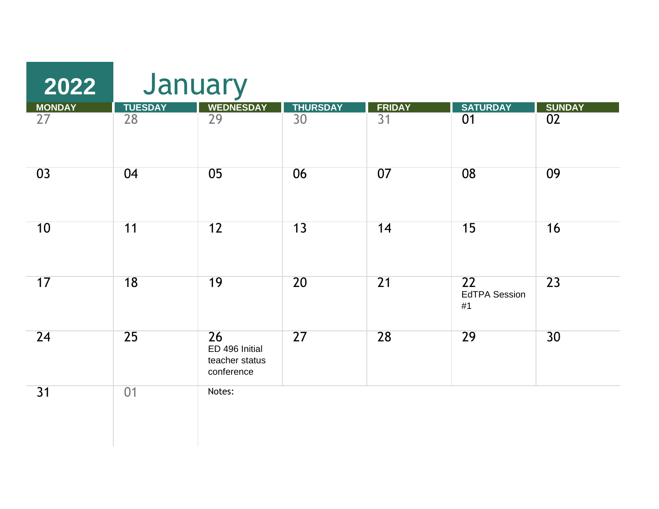| 2022          |                | January                                                           |                 |                 |                                  |               |  |
|---------------|----------------|-------------------------------------------------------------------|-----------------|-----------------|----------------------------------|---------------|--|
| <b>MONDAY</b> | <b>TUESDAY</b> | <b>WEDNESDAY</b>                                                  | <b>THURSDAY</b> | <b>FRIDAY</b>   | <b>SATURDAY</b>                  | <b>SUNDAY</b> |  |
| 27            | 28             | 29                                                                | 30              | $\overline{31}$ | 01                               | 02            |  |
| 03            | 04             | 05                                                                | 06              | 07              | 08                               | 09            |  |
| 10            | 11             | 12                                                                | 13              | 14              | 15                               | 16            |  |
| 17            | 18             | 19                                                                | 20              | 21              | 22<br><b>EdTPA Session</b><br>#1 | 23            |  |
| 24            | 25             | $\overline{26}$<br>ED 496 Initial<br>teacher status<br>conference | 27              | 28              | 29                               | 30            |  |
| 31            | 01             | Notes:                                                            |                 |                 |                                  |               |  |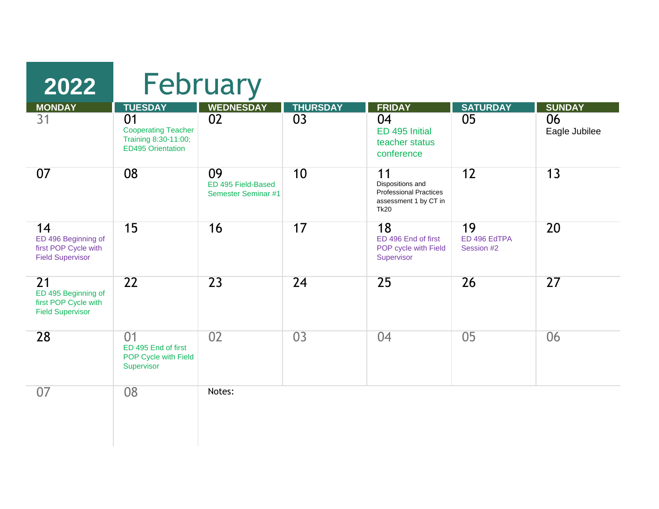| 2022                                                                                      |                                                                                                        | February                                               |                                    |                                                                                                 |                                  |                                      |
|-------------------------------------------------------------------------------------------|--------------------------------------------------------------------------------------------------------|--------------------------------------------------------|------------------------------------|-------------------------------------------------------------------------------------------------|----------------------------------|--------------------------------------|
| <b>MONDAY</b><br>$\overline{31}$                                                          | <b>TUESDAY</b><br>01<br><b>Cooperating Teacher</b><br>Training 8:30-11:00;<br><b>ED495 Orientation</b> | <b>WEDNESDAY</b><br>02                                 | <b>THURSDAY</b><br>$\overline{03}$ | <b>FRIDAY</b><br>04<br>ED 495 Initial<br>teacher status<br>conference                           | <b>SATURDAY</b><br>05            | <b>SUNDAY</b><br>06<br>Eagle Jubilee |
| 07                                                                                        | 08                                                                                                     | 09<br>ED 495 Field-Based<br><b>Semester Seminar #1</b> | 10                                 | 11<br>Dispositions and<br><b>Professional Practices</b><br>assessment 1 by CT in<br><b>Tk20</b> | 12                               | 13                                   |
| 14<br>ED 496 Beginning of<br>first POP Cycle with<br><b>Field Supervisor</b>              | 15                                                                                                     | 16                                                     | 17                                 | 18<br>ED 496 End of first<br>POP cycle with Field<br>Supervisor                                 | 19<br>ED 496 EdTPA<br>Session #2 | 20                                   |
| $\overline{21}$<br>ED 495 Beginning of<br>first POP Cycle with<br><b>Field Supervisor</b> | $\overline{22}$                                                                                        | 23                                                     | 24                                 | 25                                                                                              | 26                               | 27                                   |
| 28                                                                                        | $\overline{01}$<br>ED 495 End of first<br>POP Cycle with Field<br>Supervisor                           | 02                                                     | $\overline{03}$                    | 04                                                                                              | 05                               | 06                                   |
| 07                                                                                        | 08                                                                                                     | Notes:                                                 |                                    |                                                                                                 |                                  |                                      |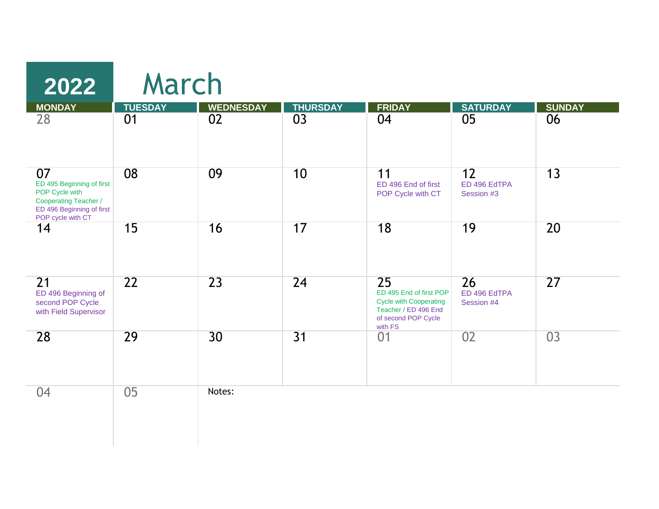| 2022                                                                                                                         | March          |                  |                 |                                                                                                                                       |                                  |                 |
|------------------------------------------------------------------------------------------------------------------------------|----------------|------------------|-----------------|---------------------------------------------------------------------------------------------------------------------------------------|----------------------------------|-----------------|
| <b>MONDAY</b>                                                                                                                | <b>TUESDAY</b> | <b>WEDNESDAY</b> | <b>THURSDAY</b> | <b>FRIDAY</b>                                                                                                                         | <b>SATURDAY</b>                  | <b>SUNDAY</b>   |
| 28                                                                                                                           | 01             | 02               | $\overline{03}$ | 04                                                                                                                                    | 05                               | 06              |
| 07<br>ED 495 Beginning of first<br>POP Cycle with<br>Cooperating Teacher /<br>ED 496 Beginning of first<br>POP cycle with CT | 08             | 09               | 10              | 11<br>ED 496 End of first<br>POP Cycle with CT                                                                                        | 12<br>ED 496 EdTPA<br>Session #3 | 13              |
| 14                                                                                                                           | 15             | 16               | 17              | 18                                                                                                                                    | 19                               | 20              |
| 21<br>ED 496 Beginning of<br>second POP Cycle<br>with Field Supervisor                                                       | 22             | 23               | 24              | $\overline{25}$<br>ED 495 End of first POP<br><b>Cycle with Cooperating</b><br>Teacher / ED 496 End<br>of second POP Cycle<br>with FS | 26<br>ED 496 EdTPA<br>Session #4 | $\overline{27}$ |
| 28                                                                                                                           | 29             | 30               | 31              | 01                                                                                                                                    | 02                               | 03              |
| 04                                                                                                                           | 0 <sub>5</sub> | Notes:           |                 |                                                                                                                                       |                                  |                 |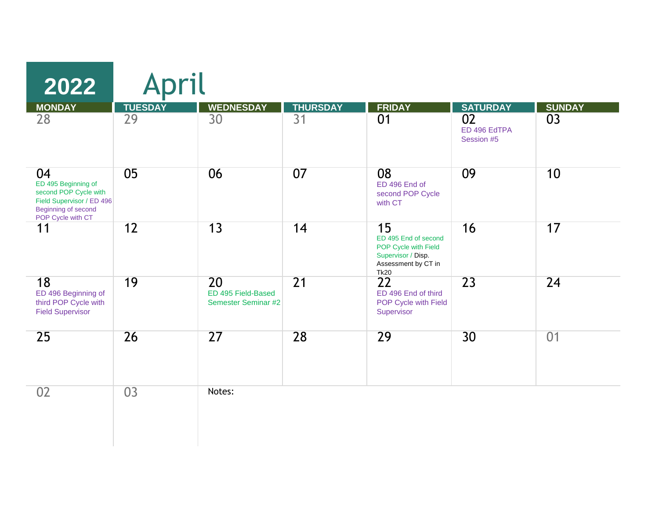| 2022                                                                                                                               | April          |                                                        |                 |                                                                                                                |                                  |                 |
|------------------------------------------------------------------------------------------------------------------------------------|----------------|--------------------------------------------------------|-----------------|----------------------------------------------------------------------------------------------------------------|----------------------------------|-----------------|
| <b>MONDAY</b>                                                                                                                      | <b>TUESDAY</b> | <b>WEDNESDAY</b>                                       | <b>THURSDAY</b> | <b>FRIDAY</b>                                                                                                  | <b>SATURDAY</b>                  | <b>SUNDAY</b>   |
| 28                                                                                                                                 | 29             | 30                                                     | $\overline{31}$ | 01                                                                                                             | 02<br>ED 496 EdTPA<br>Session #5 | 03              |
| 04<br>ED 495 Beginning of<br>second POP Cycle with<br>Field Supervisor / ED 496<br><b>Beginning of second</b><br>POP Cycle with CT | 05             | 06                                                     | 07              | 08<br>ED 496 End of<br>second POP Cycle<br>with CT                                                             | 09                               | 10              |
| 11                                                                                                                                 | 12             | 13                                                     | 14              | 15<br>ED 495 End of second<br>POP Cycle with Field<br>Supervisor / Disp.<br>Assessment by CT in<br><b>Tk20</b> | 16                               | 17              |
| 18<br>ED 496 Beginning of<br>third POP Cycle with<br><b>Field Supervisor</b>                                                       | 19             | 20<br>ED 495 Field-Based<br><b>Semester Seminar #2</b> | 21              | 22<br>ED 496 End of third<br>POP Cycle with Field<br>Supervisor                                                | 23                               | $\overline{24}$ |
| 25                                                                                                                                 | 26             | $\overline{27}$                                        | 28              | 29                                                                                                             | 30 <sup>°</sup>                  | 01              |
| 02                                                                                                                                 | 03             | Notes:                                                 |                 |                                                                                                                |                                  |                 |